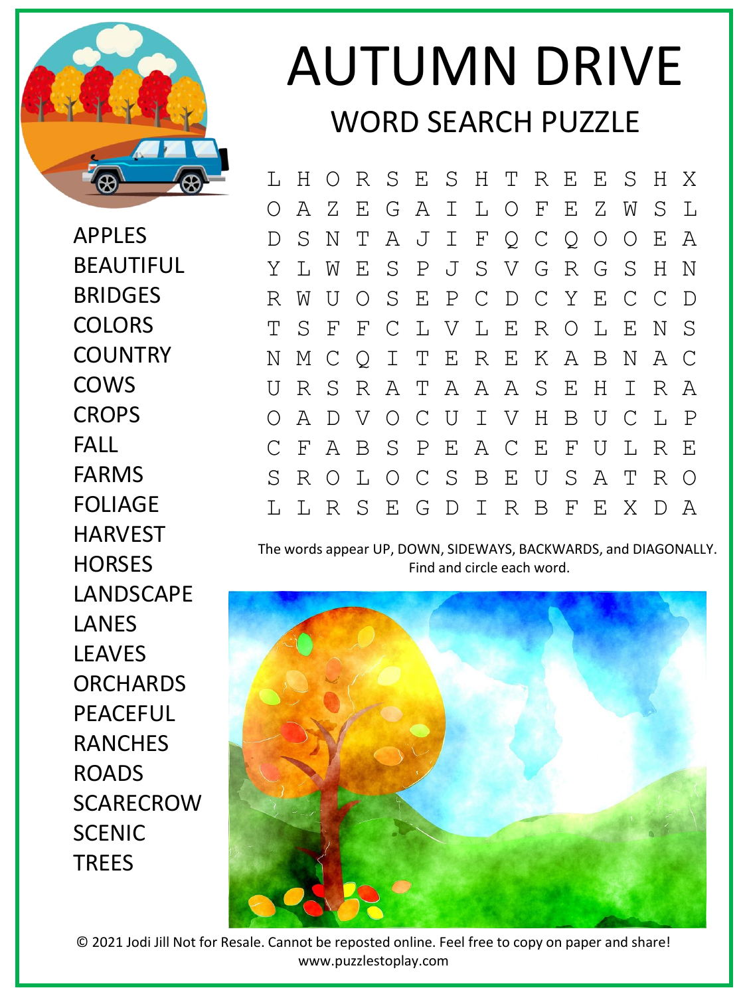

APPLES BEAUTIFUL BRIDGES **COLORS COUNTRY** COWS **CROPS** FALL FARMS FOLIAGE HARVEST **HORSES** LANDSCAPE LANES LEAVES **ORCHARDS** PEACEFUL RANCHES ROADS SCARECROW **SCENIC TRFFS** 

## AUTUMN DRIVE WORD SEARCH PUZZLE

L H O R S E S H T R E E S H X O A Z E G A I L O F E Z W S L D S N T A J I F Q C Q O O E A Y L W E S P J S V G R G S H N R W U O S E P C D C Y E C C D T S F F C L V L E R O L E N S N M C Q I T E R E K A B N A C U R S R A T A A A S E H I R A O A D V O C U I V H B U C L P C F A B S P E A C E F U L R E S R O L O C S B E U S A T R O L L R S E G D I R B F E X D A

The words appear UP, DOWN, SIDEWAYS, BACKWARDS, and DIAGONALLY. Find and circle each word.



© 2021 Jodi Jill Not for Resale. Cannot be reposted online. Feel free to copy on paper and share! www.puzzlestoplay.com